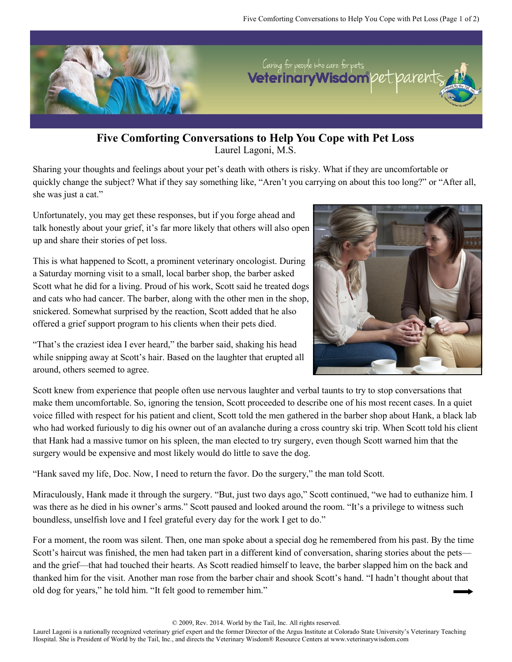

**Five Comforting Conversations to Help You Cope with Pet Loss** Laurel Lagoni, M.S.

Sharing your thoughts and feelings about your pet's death with others is risky. What if they are uncomfortable or quickly change the subject? What if they say something like, "Aren't you carrying on about this too long?" or "After all, she was just a cat."

Unfortunately, you may get these responses, but if you forge ahead and talk honestly about your grief, it's far more likely that others will also open up and share their stories of pet loss.

This is what happened to Scott, a prominent veterinary oncologist. During a Saturday morning visit to a small, local barber shop, the barber asked Scott what he did for a living. Proud of his work, Scott said he treated dogs and cats who had cancer. The barber, along with the other men in the shop, snickered. Somewhat surprised by the reaction, Scott added that he also offered a grief support program to his clients when their pets died.

"That's the craziest idea I ever heard," the barber said, shaking his head while snipping away at Scott's hair. Based on the laughter that erupted all around, others seemed to agree.



Scott knew from experience that people often use nervous laughter and verbal taunts to try to stop conversations that make them uncomfortable. So, ignoring the tension, Scott proceeded to describe one of his most recent cases. In a quiet voice filled with respect for his patient and client, Scott told the men gathered in the barber shop about Hank, a black lab who had worked furiously to dig his owner out of an avalanche during a cross country ski trip. When Scott told his client that Hank had a massive tumor on his spleen, the man elected to try surgery, even though Scott warned him that the surgery would be expensive and most likely would do little to save the dog.

"Hank saved my life, Doc. Now, I need to return the favor. Do the surgery," the man told Scott.

Miraculously, Hank made it through the surgery. "But, just two days ago," Scott continued, "we had to euthanize him. I was there as he died in his owner's arms." Scott paused and looked around the room. "It's a privilege to witness such boundless, unselfish love and I feel grateful every day for the work I get to do."

For a moment, the room was silent. Then, one man spoke about a special dog he remembered from his past. By the time Scott's haircut was finished, the men had taken part in a different kind of conversation, sharing stories about the pets and the grief—that had touched their hearts. As Scott readied himself to leave, the barber slapped him on the back and thanked him for the visit. Another man rose from the barber chair and shook Scott's hand. "I hadn't thought about that old dog for years," he told him. "It felt good to remember him."